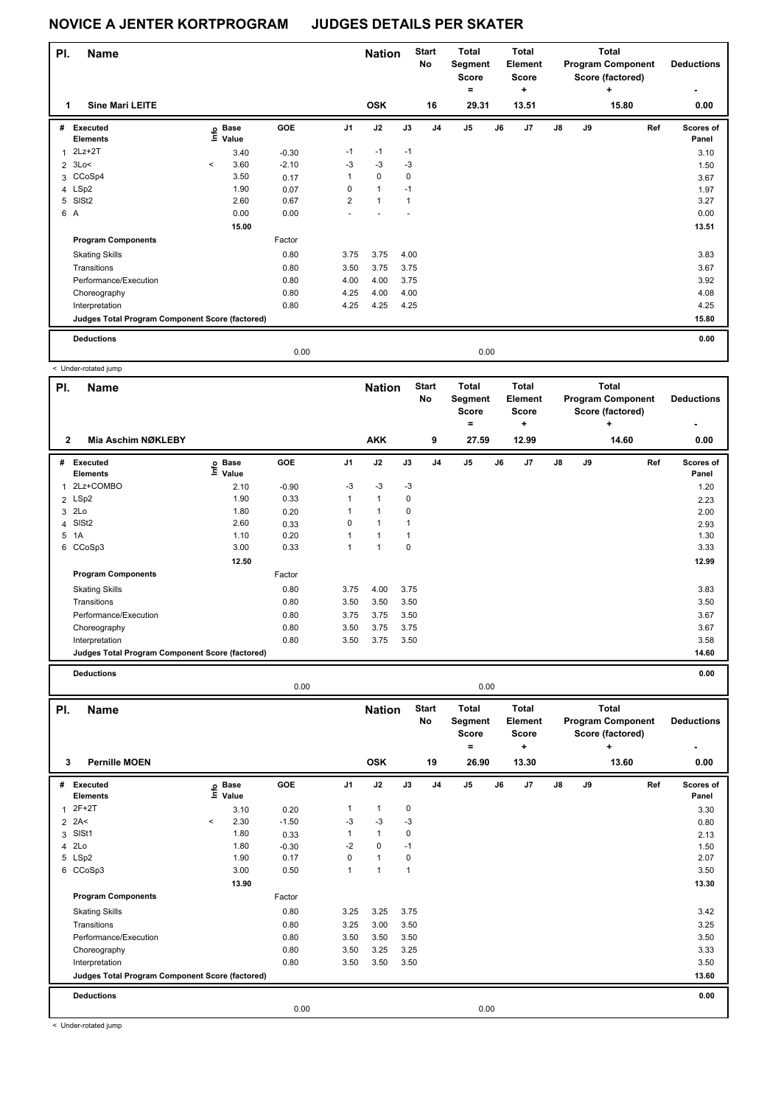| PI. | <b>Name</b>                                     |           |                   |         |                | <b>Nation</b> |              | <b>Start</b><br>No | <b>Total</b><br>Segment<br>Score |      | <b>Total</b><br>Element<br><b>Score</b> |               |    | Total<br><b>Program Component</b><br>Score (factored) | <b>Deductions</b>  |
|-----|-------------------------------------------------|-----------|-------------------|---------|----------------|---------------|--------------|--------------------|----------------------------------|------|-----------------------------------------|---------------|----|-------------------------------------------------------|--------------------|
|     | <b>Sine Mari LEITE</b>                          |           |                   |         |                | <b>OSK</b>    |              | 16                 | ۰<br>29.31                       |      | ٠<br>13.51                              |               |    | ٠<br>15.80                                            | ٠<br>0.00          |
| #   | Executed<br><b>Elements</b>                     |           | e Base<br>E Value | GOE     | J <sub>1</sub> | J2            | J3           | J <sub>4</sub>     | J <sub>5</sub>                   | J6   | J <sub>7</sub>                          | $\mathsf{J}8$ | J9 | Ref                                                   | Scores of<br>Panel |
| 1   | $2Lz+2T$                                        |           | 3.40              | $-0.30$ | $-1$           | $-1$          | $-1$         |                    |                                  |      |                                         |               |    |                                                       | 3.10               |
|     | $2 \t3Lo<$                                      | $\hat{~}$ | 3.60              | $-2.10$ | $-3$           | $-3$          | $-3$         |                    |                                  |      |                                         |               |    |                                                       | 1.50               |
|     | 3 CCoSp4                                        |           | 3.50              | 0.17    | $\mathbf{1}$   | $\mathbf 0$   | 0            |                    |                                  |      |                                         |               |    |                                                       | 3.67               |
|     | 4 LSp2                                          |           | 1.90              | 0.07    | 0              | $\mathbf{1}$  | $-1$         |                    |                                  |      |                                         |               |    |                                                       | 1.97               |
|     | 5 SISt2                                         |           | 2.60              | 0.67    | $\overline{2}$ | $\mathbf{1}$  | $\mathbf{1}$ |                    |                                  |      |                                         |               |    |                                                       | 3.27               |
|     | 6 A                                             |           | 0.00              | 0.00    |                |               |              |                    |                                  |      |                                         |               |    |                                                       | 0.00               |
|     |                                                 |           | 15.00             |         |                |               |              |                    |                                  |      |                                         |               |    |                                                       | 13.51              |
|     | <b>Program Components</b>                       |           |                   | Factor  |                |               |              |                    |                                  |      |                                         |               |    |                                                       |                    |
|     | <b>Skating Skills</b>                           |           |                   | 0.80    | 3.75           | 3.75          | 4.00         |                    |                                  |      |                                         |               |    |                                                       | 3.83               |
|     | Transitions                                     |           |                   | 0.80    | 3.50           | 3.75          | 3.75         |                    |                                  |      |                                         |               |    |                                                       | 3.67               |
|     | Performance/Execution                           |           |                   | 0.80    | 4.00           | 4.00          | 3.75         |                    |                                  |      |                                         |               |    |                                                       | 3.92               |
|     | Choreography                                    |           |                   | 0.80    | 4.25           | 4.00          | 4.00         |                    |                                  |      |                                         |               |    |                                                       | 4.08               |
|     | Interpretation                                  |           |                   | 0.80    | 4.25           | 4.25          | 4.25         |                    |                                  |      |                                         |               |    |                                                       | 4.25               |
|     | Judges Total Program Component Score (factored) |           |                   |         |                |               |              |                    |                                  |      |                                         |               |    |                                                       | 15.80              |
|     | <b>Deductions</b>                               |           |                   |         |                |               |              |                    |                                  |      |                                         |               |    |                                                       | 0.00               |
|     |                                                 |           |                   | 0.00    |                |               |              |                    |                                  | 0.00 |                                         |               |    |                                                       |                    |

< Under-rotated jump

| PI.          | <b>Name</b>                                     |                            |         | <b>Nation</b>  |              | <b>Start</b><br>No | <b>Total</b><br>Segment<br><b>Score</b> |              | <b>Total</b><br>Element<br><b>Score</b> |            |    | <b>Total</b><br><b>Program Component</b><br>Score (factored) | <b>Deductions</b> |                    |
|--------------|-------------------------------------------------|----------------------------|---------|----------------|--------------|--------------------|-----------------------------------------|--------------|-----------------------------------------|------------|----|--------------------------------------------------------------|-------------------|--------------------|
| $\mathbf{2}$ | Mia Aschim NØKLEBY                              |                            |         |                | <b>AKK</b>   |                    | 9                                       | $=$<br>27.59 |                                         | ٠<br>12.99 |    |                                                              | ٠<br>14.60        | ۰<br>0.00          |
| #            | Executed<br><b>Elements</b>                     | e Base<br>⊑ Value<br>Value | GOE     | J <sub>1</sub> | J2           | J3                 | J <sub>4</sub>                          | J5           | J6                                      | J7         | J8 | J9                                                           | Ref               | Scores of<br>Panel |
| 1            | 2Lz+COMBO                                       | 2.10                       | $-0.90$ | $-3$           | $-3$         | $-3$               |                                         |              |                                         |            |    |                                                              |                   | 1.20               |
|              | 2 LSp2                                          | 1.90                       | 0.33    | 1              | $\mathbf{1}$ | 0                  |                                         |              |                                         |            |    |                                                              |                   | 2.23               |
| 3            | 2Lo                                             | 1.80                       | 0.20    |                | 1            | 0                  |                                         |              |                                         |            |    |                                                              |                   | 2.00               |
| 4            | SISt <sub>2</sub>                               | 2.60                       | 0.33    | 0              | 1            |                    |                                         |              |                                         |            |    |                                                              |                   | 2.93               |
| 5            | 1A                                              | 1.10                       | 0.20    |                | 1            | 1                  |                                         |              |                                         |            |    |                                                              |                   | 1.30               |
| 6            | CCoSp3                                          | 3.00                       | 0.33    | 1              | 1            | 0                  |                                         |              |                                         |            |    |                                                              |                   | 3.33               |
|              |                                                 | 12.50                      |         |                |              |                    |                                         |              |                                         |            |    |                                                              |                   | 12.99              |
|              | <b>Program Components</b>                       |                            | Factor  |                |              |                    |                                         |              |                                         |            |    |                                                              |                   |                    |
|              | <b>Skating Skills</b>                           |                            | 0.80    | 3.75           | 4.00         | 3.75               |                                         |              |                                         |            |    |                                                              |                   | 3.83               |
|              | Transitions                                     |                            | 0.80    | 3.50           | 3.50         | 3.50               |                                         |              |                                         |            |    |                                                              |                   | 3.50               |
|              | Performance/Execution                           |                            | 0.80    | 3.75           | 3.75         | 3.50               |                                         |              |                                         |            |    |                                                              |                   | 3.67               |
|              | Choreography                                    |                            | 0.80    | 3.50           | 3.75         | 3.75               |                                         |              |                                         |            |    |                                                              |                   | 3.67               |
|              | Interpretation                                  |                            | 0.80    | 3.50           | 3.75         | 3.50               |                                         |              |                                         |            |    |                                                              |                   | 3.58               |
|              | Judges Total Program Component Score (factored) |                            |         |                |              |                    |                                         |              |                                         |            |    |                                                              |                   | 14.60              |
|              | <b>Deductions</b>                               |                            |         |                |              |                    |                                         |              |                                         |            |    |                                                              |                   | 0.00               |

0.00 0.00

| PI.          | <b>Name</b>                                     |           |                            |         |                | <b>Nation</b>        |              | <b>Start</b><br>No | Total<br>Segment<br><b>Score</b> |      | <b>Total</b><br>Element<br><b>Score</b> |               |    | Total<br><b>Program Component</b><br>Score (factored) | <b>Deductions</b>  |
|--------------|-------------------------------------------------|-----------|----------------------------|---------|----------------|----------------------|--------------|--------------------|----------------------------------|------|-----------------------------------------|---------------|----|-------------------------------------------------------|--------------------|
| 3            | <b>Pernille MOEN</b>                            |           |                            |         |                | <b>OSK</b>           |              | 19                 | =<br>26.90                       |      | ٠<br>13.30                              |               |    | ÷<br>13.60                                            | 0.00               |
|              |                                                 |           |                            |         |                |                      |              |                    |                                  |      |                                         |               |    |                                                       |                    |
|              | # Executed<br><b>Elements</b>                   |           | e Base<br>E Value<br>Value | GOE     | J <sub>1</sub> | J2                   | J3           | J <sub>4</sub>     | J <sub>5</sub>                   | J6   | J7                                      | $\mathsf{J}8$ | J9 | Ref                                                   | Scores of<br>Panel |
| $\mathbf{1}$ | $2F+2T$                                         |           | 3.10                       | 0.20    | 1              | $\mathbf{1}$         | 0            |                    |                                  |      |                                         |               |    |                                                       | 3.30               |
|              | $2$ 2A<                                         | $\hat{~}$ | 2.30                       | $-1.50$ | -3             | $-3$                 | -3           |                    |                                  |      |                                         |               |    |                                                       | 0.80               |
| 3            | SISt1                                           |           | 1.80                       | 0.33    | 1              | $\mathbf{1}$         | 0            |                    |                                  |      |                                         |               |    |                                                       | 2.13               |
|              | 4 2Lo                                           |           | 1.80                       | $-0.30$ | $-2$           | $\mathbf 0$          | $-1$         |                    |                                  |      |                                         |               |    |                                                       | 1.50               |
|              | 5 LSp2                                          |           | 1.90                       | 0.17    | 0              | $\mathbf{1}$         | 0            |                    |                                  |      |                                         |               |    |                                                       | 2.07               |
|              | 6 CCoSp3                                        |           | 3.00                       | 0.50    | $\mathbf{1}$   | $\blacktriangleleft$ | $\mathbf{1}$ |                    |                                  |      |                                         |               |    |                                                       | 3.50               |
|              |                                                 |           | 13.90                      |         |                |                      |              |                    |                                  |      |                                         |               |    |                                                       | 13.30              |
|              | <b>Program Components</b>                       |           |                            | Factor  |                |                      |              |                    |                                  |      |                                         |               |    |                                                       |                    |
|              | <b>Skating Skills</b>                           |           |                            | 0.80    | 3.25           | 3.25                 | 3.75         |                    |                                  |      |                                         |               |    |                                                       | 3.42               |
|              | Transitions                                     |           |                            | 0.80    | 3.25           | 3.00                 | 3.50         |                    |                                  |      |                                         |               |    |                                                       | 3.25               |
|              | Performance/Execution                           |           |                            | 0.80    | 3.50           | 3.50                 | 3.50         |                    |                                  |      |                                         |               |    |                                                       | 3.50               |
|              | Choreography                                    |           |                            | 0.80    | 3.50           | 3.25                 | 3.25         |                    |                                  |      |                                         |               |    |                                                       | 3.33               |
|              | Interpretation                                  |           |                            | 0.80    | 3.50           | 3.50                 | 3.50         |                    |                                  |      |                                         |               |    |                                                       | 3.50               |
|              | Judges Total Program Component Score (factored) |           |                            |         |                |                      |              |                    |                                  |      |                                         |               |    |                                                       | 13.60              |
|              | <b>Deductions</b>                               |           |                            |         |                |                      |              |                    |                                  |      |                                         |               |    |                                                       | 0.00               |
|              |                                                 |           |                            | 0.00    |                |                      |              |                    |                                  | 0.00 |                                         |               |    |                                                       |                    |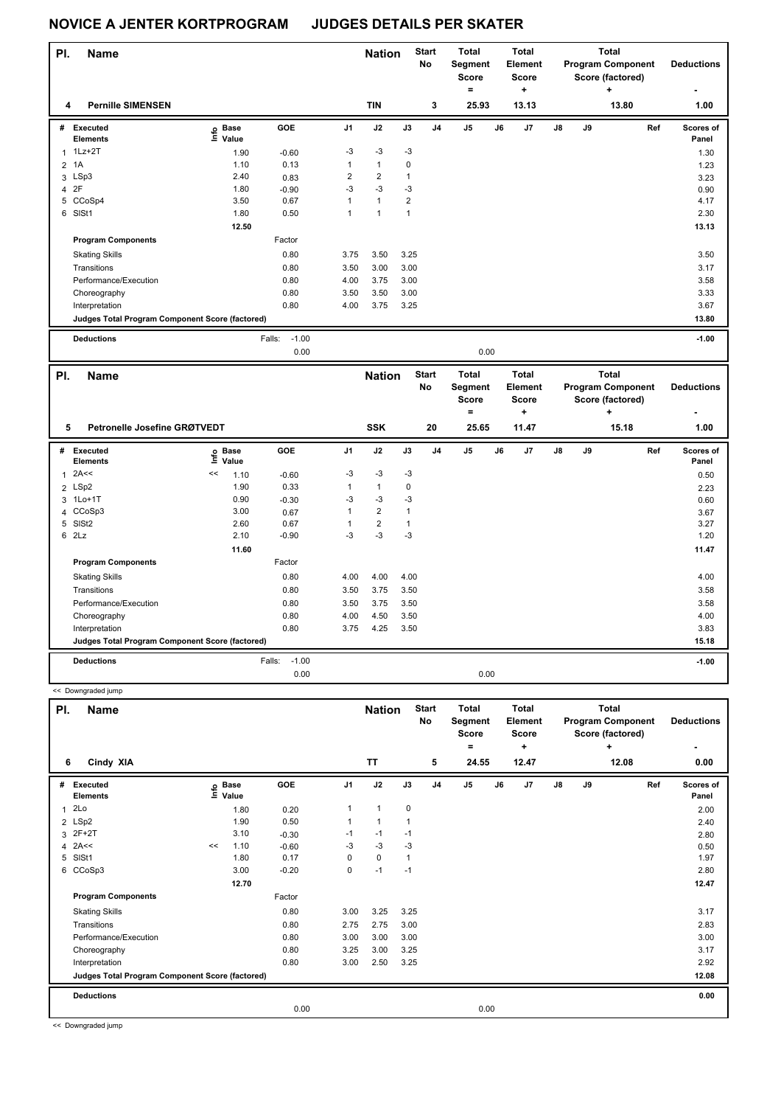| PI.            | <b>Name</b>                                     |                   |                   | <b>Nation</b>  |                | <b>Start</b><br>No | Total<br>Segment<br><b>Score</b> |                | <b>Total</b><br>Element<br>Score |            |               | Total<br><b>Program Component</b><br>Score (factored) | <b>Deductions</b> |                    |
|----------------|-------------------------------------------------|-------------------|-------------------|----------------|----------------|--------------------|----------------------------------|----------------|----------------------------------|------------|---------------|-------------------------------------------------------|-------------------|--------------------|
| 4              | <b>Pernille SIMENSEN</b>                        |                   |                   |                | <b>TIN</b>     |                    | 3                                | $=$<br>25.93   |                                  | +<br>13.13 |               |                                                       | ٠<br>13.80        | 1.00               |
| #              | Executed<br><b>Elements</b>                     | e Base<br>E Value | GOE               | J <sub>1</sub> | J2             | J3                 | J <sub>4</sub>                   | J <sub>5</sub> | J6                               | J7         | $\mathsf{J}8$ | J9                                                    | Ref               | Scores of<br>Panel |
| 1              | $1$ Lz $+2$ T                                   | 1.90              | $-0.60$           | $-3$           | $-3$           | $-3$               |                                  |                |                                  |            |               |                                                       |                   | 1.30               |
| $\overline{2}$ | 1A                                              | 1.10              | 0.13              | $\mathbf{1}$   | $\mathbf{1}$   | 0                  |                                  |                |                                  |            |               |                                                       |                   | 1.23               |
|                | 3 LSp3                                          | 2.40              | 0.83              | $\overline{2}$ | $\overline{2}$ | 1                  |                                  |                |                                  |            |               |                                                       |                   | 3.23               |
|                | 4 2F                                            | 1.80              | $-0.90$           | $-3$           | $-3$           | $-3$               |                                  |                |                                  |            |               |                                                       |                   | 0.90               |
|                | 5 CCoSp4                                        | 3.50              | 0.67              | 1              | $\overline{1}$ | $\overline{2}$     |                                  |                |                                  |            |               |                                                       |                   | 4.17               |
|                | 6 SISt1                                         | 1.80              | 0.50              | 1              | 1              | $\overline{1}$     |                                  |                |                                  |            |               |                                                       |                   | 2.30               |
|                |                                                 | 12.50             |                   |                |                |                    |                                  |                |                                  |            |               |                                                       |                   | 13.13              |
|                | <b>Program Components</b>                       |                   | Factor            |                |                |                    |                                  |                |                                  |            |               |                                                       |                   |                    |
|                | <b>Skating Skills</b>                           |                   | 0.80              | 3.75           | 3.50           | 3.25               |                                  |                |                                  |            |               |                                                       |                   | 3.50               |
|                | Transitions                                     |                   | 0.80              | 3.50           | 3.00           | 3.00               |                                  |                |                                  |            |               |                                                       |                   | 3.17               |
|                | Performance/Execution                           |                   | 0.80              | 4.00           | 3.75           | 3.00               |                                  |                |                                  |            |               |                                                       |                   | 3.58               |
|                | Choreography                                    |                   | 0.80              | 3.50           | 3.50           | 3.00               |                                  |                |                                  |            |               |                                                       |                   | 3.33               |
|                | Interpretation                                  |                   | 0.80              | 4.00           | 3.75           | 3.25               |                                  |                |                                  |            |               |                                                       |                   | 3.67               |
|                | Judges Total Program Component Score (factored) |                   |                   |                |                |                    |                                  |                |                                  |            |               |                                                       |                   | 13.80              |
|                | <b>Deductions</b>                               |                   | $-1.00$<br>Falls: |                |                |                    |                                  |                |                                  |            |               |                                                       |                   | $-1.00$            |
|                |                                                 |                   | 0.00              |                |                |                    |                                  |                | 0.00                             |            |               |                                                       |                   |                    |

| PI. | <b>Name</b>                                     | Petronelle Josefine GRØTVEDT |                      |                   |                | <b>Nation</b>  |              | <b>Start</b><br><b>No</b> | <b>Total</b><br>Segment<br><b>Score</b><br>۰ |      | Total<br>Element<br><b>Score</b><br>÷ |               |    | <b>Total</b><br><b>Program Component</b><br>Score (factored)<br>$\ddot{}$ | <b>Deductions</b>         |
|-----|-------------------------------------------------|------------------------------|----------------------|-------------------|----------------|----------------|--------------|---------------------------|----------------------------------------------|------|---------------------------------------|---------------|----|---------------------------------------------------------------------------|---------------------------|
| 5   |                                                 |                              |                      |                   |                | <b>SSK</b>     |              | 20                        | 25.65                                        |      | 11.47                                 |               |    | 15.18                                                                     | 1.00                      |
| #   | <b>Executed</b><br><b>Elements</b>              | lnfo                         | <b>Base</b><br>Value | <b>GOE</b>        | J <sub>1</sub> | J2             | J3           | J <sub>4</sub>            | J <sub>5</sub>                               | J6   | J7                                    | $\mathsf{J}8$ | J9 | Ref                                                                       | <b>Scores of</b><br>Panel |
| 1   | 2A<<                                            | <<                           | 1.10                 | $-0.60$           | $-3$           | $-3$           | $-3$         |                           |                                              |      |                                       |               |    |                                                                           | 0.50                      |
|     | 2 LSp2                                          |                              | 1.90                 | 0.33              |                | $\mathbf{1}$   | 0            |                           |                                              |      |                                       |               |    |                                                                           | 2.23                      |
|     | 3 1Lo+1T                                        |                              | 0.90                 | $-0.30$           | $-3$           | $-3$           | $-3$         |                           |                                              |      |                                       |               |    |                                                                           | 0.60                      |
|     | 4 CCoSp3                                        |                              | 3.00                 | 0.67              |                | $\overline{2}$ | $\mathbf{1}$ |                           |                                              |      |                                       |               |    |                                                                           | 3.67                      |
| 5   | SISt <sub>2</sub>                               |                              | 2.60                 | 0.67              |                | $\overline{2}$ | 1            |                           |                                              |      |                                       |               |    |                                                                           | 3.27                      |
| 6   | 2Lz                                             |                              | 2.10                 | $-0.90$           | $-3$           | $-3$           | $-3$         |                           |                                              |      |                                       |               |    |                                                                           | 1.20                      |
|     |                                                 |                              | 11.60                |                   |                |                |              |                           |                                              |      |                                       |               |    |                                                                           | 11.47                     |
|     | <b>Program Components</b>                       |                              |                      | Factor            |                |                |              |                           |                                              |      |                                       |               |    |                                                                           |                           |
|     | <b>Skating Skills</b>                           |                              |                      | 0.80              | 4.00           | 4.00           | 4.00         |                           |                                              |      |                                       |               |    |                                                                           | 4.00                      |
|     | Transitions                                     |                              |                      | 0.80              | 3.50           | 3.75           | 3.50         |                           |                                              |      |                                       |               |    |                                                                           | 3.58                      |
|     | Performance/Execution                           |                              |                      | 0.80              | 3.50           | 3.75           | 3.50         |                           |                                              |      |                                       |               |    |                                                                           | 3.58                      |
|     | Choreography                                    |                              |                      | 0.80              | 4.00           | 4.50           | 3.50         |                           |                                              |      |                                       |               |    |                                                                           | 4.00                      |
|     | Interpretation                                  |                              |                      | 0.80              | 3.75           | 4.25           | 3.50         |                           |                                              |      |                                       |               |    |                                                                           | 3.83                      |
|     | Judges Total Program Component Score (factored) |                              |                      |                   |                |                |              |                           |                                              |      |                                       |               |    |                                                                           | 15.18                     |
|     | <b>Deductions</b>                               |                              |                      | $-1.00$<br>Falls: |                |                |              |                           |                                              |      |                                       |               |    |                                                                           | $-1.00$                   |
|     |                                                 |                              |                      | 0.00              |                |                |              |                           |                                              | 0.00 |                                       |               |    |                                                                           |                           |

| PI.<br><b>Name</b><br>6 |                                                 |    |                            |         |                | <b>Nation</b>  |      | <b>Start</b><br>No | <b>Total</b><br>Segment<br><b>Score</b><br>۰ |    | <b>Total</b><br>Element<br><b>Score</b> |               |    | <b>Total</b><br><b>Program Component</b><br>Score (factored) | <b>Deductions</b>  |
|-------------------------|-------------------------------------------------|----|----------------------------|---------|----------------|----------------|------|--------------------|----------------------------------------------|----|-----------------------------------------|---------------|----|--------------------------------------------------------------|--------------------|
|                         | Cindy XIA                                       |    |                            |         |                | <b>TT</b>      |      | 5                  | 24.55                                        |    | ٠<br>12.47                              |               |    | ÷<br>12.08                                                   | 0.00               |
|                         |                                                 |    |                            |         |                |                |      |                    |                                              |    |                                         |               |    |                                                              |                    |
| #                       | <b>Executed</b><br><b>Elements</b>              |    | e Base<br>E Value<br>Value | GOE     | J <sub>1</sub> | J2             | J3   | J <sub>4</sub>     | J <sub>5</sub>                               | J6 | J7                                      | $\mathsf{J}8$ | J9 | Ref                                                          | Scores of<br>Panel |
| 1                       | 2Lo                                             |    | 1.80                       | 0.20    | 1              | $\mathbf{1}$   | 0    |                    |                                              |    |                                         |               |    |                                                              | 2.00               |
|                         | 2 LSp2                                          |    | 1.90                       | 0.50    |                | $\overline{1}$ |      |                    |                                              |    |                                         |               |    |                                                              | 2.40               |
| 3                       | 2F+2T                                           |    | 3.10                       | $-0.30$ | $-1$           | $-1$           | $-1$ |                    |                                              |    |                                         |               |    |                                                              | 2.80               |
|                         | 4 $2A<<$                                        | << | 1.10                       | $-0.60$ | -3             | $-3$           | -3   |                    |                                              |    |                                         |               |    |                                                              | 0.50               |
| 5                       | SISt1                                           |    | 1.80                       | 0.17    | 0              | $\mathbf 0$    | 1    |                    |                                              |    |                                         |               |    |                                                              | 1.97               |
| 6                       | CCoSp3                                          |    | 3.00                       | $-0.20$ | 0              | $-1$           | $-1$ |                    |                                              |    |                                         |               |    |                                                              | 2.80               |
|                         |                                                 |    | 12.70                      |         |                |                |      |                    |                                              |    |                                         |               |    |                                                              | 12.47              |
|                         | <b>Program Components</b>                       |    |                            | Factor  |                |                |      |                    |                                              |    |                                         |               |    |                                                              |                    |
|                         | <b>Skating Skills</b>                           |    |                            | 0.80    | 3.00           | 3.25           | 3.25 |                    |                                              |    |                                         |               |    |                                                              | 3.17               |
|                         | Transitions                                     |    |                            | 0.80    | 2.75           | 2.75           | 3.00 |                    |                                              |    |                                         |               |    |                                                              | 2.83               |
|                         | Performance/Execution                           |    |                            | 0.80    | 3.00           | 3.00           | 3.00 |                    |                                              |    |                                         |               |    |                                                              | 3.00               |
|                         | Choreography                                    |    |                            | 0.80    | 3.25           | 3.00           | 3.25 |                    |                                              |    |                                         |               |    |                                                              | 3.17               |
|                         | Interpretation                                  |    |                            | 0.80    | 3.00           | 2.50           | 3.25 |                    |                                              |    |                                         |               |    |                                                              | 2.92               |
|                         | Judges Total Program Component Score (factored) |    |                            |         |                |                |      |                    |                                              |    |                                         |               |    |                                                              | 12.08              |
|                         | <b>Deductions</b>                               |    |                            |         |                |                |      |                    |                                              |    |                                         |               |    |                                                              | 0.00               |
|                         |                                                 |    |                            | 0.00    |                |                |      |                    | 0.00                                         |    |                                         |               |    |                                                              |                    |

<< Downgraded jump

<< Downgraded jump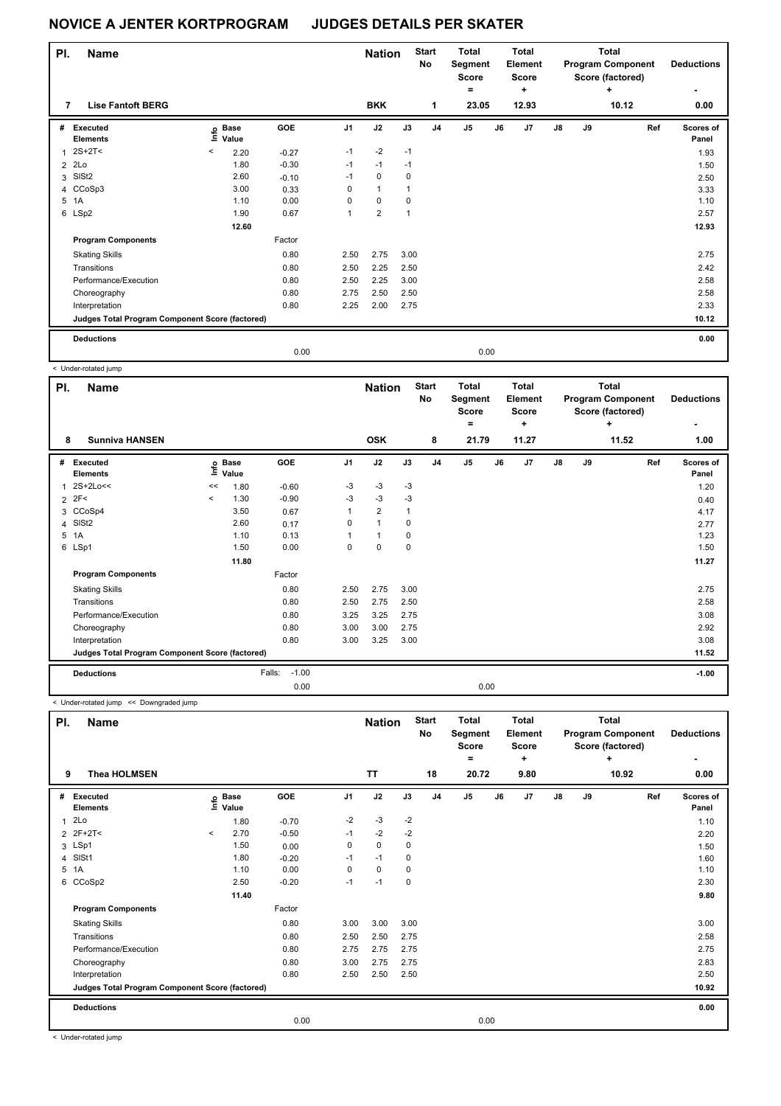| PI.            | <b>Name</b>                                     |                          |                            |            |                | <b>Nation</b>  |              | <b>Start</b><br>No | <b>Total</b><br>Segment<br><b>Score</b><br>۰ |      | Total<br><b>Element</b><br><b>Score</b><br>٠ |               |    | <b>Total</b><br><b>Program Component</b><br>Score (factored)<br>$\ddot{}$ | <b>Deductions</b><br>۰    |
|----------------|-------------------------------------------------|--------------------------|----------------------------|------------|----------------|----------------|--------------|--------------------|----------------------------------------------|------|----------------------------------------------|---------------|----|---------------------------------------------------------------------------|---------------------------|
| 7              | <b>Lise Fantoft BERG</b>                        |                          |                            |            |                | <b>BKK</b>     |              | 1                  | 23.05                                        |      | 12.93                                        |               |    | 10.12                                                                     | 0.00                      |
| #              | Executed<br><b>Elements</b>                     |                          | e Base<br>E Value<br>Value | <b>GOE</b> | J <sub>1</sub> | J2             | J3           | J <sub>4</sub>     | J <sub>5</sub>                               | J6   | J <sub>7</sub>                               | $\mathsf{J}8$ | J9 | Ref                                                                       | <b>Scores of</b><br>Panel |
|                | $2S+2T<$                                        | $\overline{\phantom{a}}$ | 2.20                       | $-0.27$    | $-1$           | $-2$           | $-1$         |                    |                                              |      |                                              |               |    |                                                                           | 1.93                      |
| $\overline{2}$ | 2Lo                                             |                          | 1.80                       | $-0.30$    | $-1$           | $-1$           | $-1$         |                    |                                              |      |                                              |               |    |                                                                           | 1.50                      |
|                | 3 SISt2                                         |                          | 2.60                       | $-0.10$    | $-1$           | $\mathbf 0$    | $\mathbf 0$  |                    |                                              |      |                                              |               |    |                                                                           | 2.50                      |
|                | 4 CCoSp3                                        |                          | 3.00                       | 0.33       | 0              | $\mathbf{1}$   | $\mathbf{1}$ |                    |                                              |      |                                              |               |    |                                                                           | 3.33                      |
|                | 5 1A                                            |                          | 1.10                       | 0.00       | 0              | $\mathbf 0$    | $\mathbf 0$  |                    |                                              |      |                                              |               |    |                                                                           | 1.10                      |
|                | 6 LSp2                                          |                          | 1.90                       | 0.67       | 1              | $\overline{2}$ | $\mathbf{1}$ |                    |                                              |      |                                              |               |    |                                                                           | 2.57                      |
|                |                                                 |                          | 12.60                      |            |                |                |              |                    |                                              |      |                                              |               |    |                                                                           | 12.93                     |
|                | <b>Program Components</b>                       |                          |                            | Factor     |                |                |              |                    |                                              |      |                                              |               |    |                                                                           |                           |
|                | <b>Skating Skills</b>                           |                          |                            | 0.80       | 2.50           | 2.75           | 3.00         |                    |                                              |      |                                              |               |    |                                                                           | 2.75                      |
|                | Transitions                                     |                          |                            | 0.80       | 2.50           | 2.25           | 2.50         |                    |                                              |      |                                              |               |    |                                                                           | 2.42                      |
|                | Performance/Execution                           |                          |                            | 0.80       | 2.50           | 2.25           | 3.00         |                    |                                              |      |                                              |               |    |                                                                           | 2.58                      |
|                | Choreography                                    |                          |                            | 0.80       | 2.75           | 2.50           | 2.50         |                    |                                              |      |                                              |               |    |                                                                           | 2.58                      |
|                | Interpretation                                  |                          |                            | 0.80       | 2.25           | 2.00           | 2.75         |                    |                                              |      |                                              |               |    |                                                                           | 2.33                      |
|                | Judges Total Program Component Score (factored) |                          |                            |            |                |                |              |                    |                                              |      |                                              |               |    |                                                                           | 10.12                     |
|                | <b>Deductions</b>                               |                          |                            |            |                |                |              |                    |                                              |      |                                              |               |    |                                                                           | 0.00                      |
|                |                                                 |                          |                            | 0.00       |                |                |              |                    |                                              | 0.00 |                                              |               |    |                                                                           |                           |

< Under-rotated jump

|   | PI.<br><b>Name</b><br>8                         |                     |                            |                   |                | <b>Nation</b>  |      | <b>Start</b><br>No | <b>Total</b><br>Segment<br><b>Score</b><br>۰ |    | <b>Total</b><br>Element<br><b>Score</b><br>٠ |               |    | <b>Total</b><br><b>Program Component</b><br>Score (factored)<br>÷ | <b>Deductions</b>  |
|---|-------------------------------------------------|---------------------|----------------------------|-------------------|----------------|----------------|------|--------------------|----------------------------------------------|----|----------------------------------------------|---------------|----|-------------------------------------------------------------------|--------------------|
|   | <b>Sunniva HANSEN</b>                           |                     |                            |                   |                | <b>OSK</b>     |      | 8                  | 21.79                                        |    | 11.27                                        |               |    | 11.52                                                             | 1.00               |
| # | <b>Executed</b><br><b>Elements</b>              |                     | e Base<br>⊆ Value<br>Value | <b>GOE</b>        | J <sub>1</sub> | J2             | J3   | J <sub>4</sub>     | J <sub>5</sub>                               | J6 | J <sub>7</sub>                               | $\mathsf{J}8$ | J9 | Ref                                                               | Scores of<br>Panel |
| 1 | 2S+2Lo<<                                        | <<                  | 1.80                       | $-0.60$           | $-3$           | $-3$           | $-3$ |                    |                                              |    |                                              |               |    |                                                                   | 1.20               |
| 2 | 2F<                                             | $\hat{\phantom{a}}$ | 1.30                       | $-0.90$           | -3             | $-3$           | -3   |                    |                                              |    |                                              |               |    |                                                                   | 0.40               |
| 3 | CCoSp4                                          |                     | 3.50                       | 0.67              | 1              | $\overline{2}$ |      |                    |                                              |    |                                              |               |    |                                                                   | 4.17               |
| 4 | SISt <sub>2</sub>                               |                     | 2.60                       | 0.17              | 0              | $\mathbf{1}$   | 0    |                    |                                              |    |                                              |               |    |                                                                   | 2.77               |
| 5 | 1A                                              |                     | 1.10                       | 0.13              |                | 1              | 0    |                    |                                              |    |                                              |               |    |                                                                   | 1.23               |
|   | 6 LSp1                                          |                     | 1.50                       | 0.00              | 0              | $\mathbf 0$    | 0    |                    |                                              |    |                                              |               |    |                                                                   | 1.50               |
|   |                                                 |                     | 11.80                      |                   |                |                |      |                    |                                              |    |                                              |               |    |                                                                   | 11.27              |
|   | <b>Program Components</b>                       |                     |                            | Factor            |                |                |      |                    |                                              |    |                                              |               |    |                                                                   |                    |
|   | <b>Skating Skills</b>                           |                     |                            | 0.80              | 2.50           | 2.75           | 3.00 |                    |                                              |    |                                              |               |    |                                                                   | 2.75               |
|   | Transitions                                     |                     |                            | 0.80              | 2.50           | 2.75           | 2.50 |                    |                                              |    |                                              |               |    |                                                                   | 2.58               |
|   | Performance/Execution                           |                     |                            | 0.80              | 3.25           | 3.25           | 2.75 |                    |                                              |    |                                              |               |    |                                                                   | 3.08               |
|   | Choreography                                    |                     |                            | 0.80              | 3.00           | 3.00           | 2.75 |                    |                                              |    |                                              |               |    |                                                                   | 2.92               |
|   | Interpretation                                  |                     |                            | 0.80              | 3.00           | 3.25           | 3.00 |                    |                                              |    |                                              |               |    |                                                                   | 3.08               |
|   | Judges Total Program Component Score (factored) |                     |                            |                   |                |                |      |                    |                                              |    |                                              |               |    |                                                                   | 11.52              |
|   | <b>Deductions</b>                               |                     |                            | $-1.00$<br>Falls: |                |                |      |                    |                                              |    |                                              |               |    |                                                                   | $-1.00$            |
|   |                                                 |                     |                            | 0.00              |                |                |      |                    | 0.00                                         |    |                                              |               |    |                                                                   |                    |

< Under-rotated jump << Downgraded jump

| PI. | <b>Name</b>                                     |         |                   |            |                | <b>Nation</b> |           | <b>Start</b><br>No | <b>Total</b><br>Segment<br><b>Score</b><br>۰ |    | <b>Total</b><br>Element<br><b>Score</b><br>٠ | <b>Total</b><br><b>Program Component</b><br>Score (factored)<br>÷<br>10.92 |    |     | <b>Deductions</b>  |
|-----|-------------------------------------------------|---------|-------------------|------------|----------------|---------------|-----------|--------------------|----------------------------------------------|----|----------------------------------------------|----------------------------------------------------------------------------|----|-----|--------------------|
| 9   | <b>Thea HOLMSEN</b>                             |         |                   |            |                | <b>TT</b>     |           | 18                 | 20.72                                        |    | 9.80                                         |                                                                            |    |     | 0.00               |
| #   | <b>Executed</b><br><b>Elements</b>              |         | e Base<br>⊆ Value | <b>GOE</b> | J <sub>1</sub> | J2            | J3        | J <sub>4</sub>     | J <sub>5</sub>                               | J6 | J7                                           | $\mathsf{J}8$                                                              | J9 | Ref | Scores of<br>Panel |
| 1   | 2Lo                                             |         | 1.80              | $-0.70$    | $-2$           | $-3$          | $-2$      |                    |                                              |    |                                              |                                                                            |    |     | 1.10               |
|     | 2 2F+2T<                                        | $\prec$ | 2.70              | $-0.50$    | $-1$           | $-2$          | $-2$      |                    |                                              |    |                                              |                                                                            |    |     | 2.20               |
|     | 3 LSp1                                          |         | 1.50              | 0.00       | 0              | $\mathbf 0$   | 0         |                    |                                              |    |                                              |                                                                            |    |     | 1.50               |
| 4   | SISt1                                           |         | 1.80              | $-0.20$    | -1             | $-1$          | 0         |                    |                                              |    |                                              |                                                                            |    |     | 1.60               |
| 5   | 1A                                              |         | 1.10              | 0.00       | 0              | $\mathbf 0$   | 0         |                    |                                              |    |                                              |                                                                            |    |     | 1.10               |
|     | 6 CCoSp2                                        |         | 2.50              | $-0.20$    | $-1$           | $-1$          | $\pmb{0}$ |                    |                                              |    |                                              |                                                                            |    |     | 2.30               |
|     |                                                 |         | 11.40             |            |                |               |           |                    |                                              |    |                                              |                                                                            |    |     | 9.80               |
|     | <b>Program Components</b>                       |         |                   | Factor     |                |               |           |                    |                                              |    |                                              |                                                                            |    |     |                    |
|     | <b>Skating Skills</b>                           |         |                   | 0.80       | 3.00           | 3.00          | 3.00      |                    |                                              |    |                                              |                                                                            |    |     | 3.00               |
|     | Transitions                                     |         |                   | 0.80       | 2.50           | 2.50          | 2.75      |                    |                                              |    |                                              |                                                                            |    |     | 2.58               |
|     | Performance/Execution                           |         |                   | 0.80       | 2.75           | 2.75          | 2.75      |                    |                                              |    |                                              |                                                                            |    |     | 2.75               |
|     | Choreography                                    |         |                   | 0.80       | 3.00           | 2.75          | 2.75      |                    |                                              |    |                                              |                                                                            |    |     | 2.83               |
|     | Interpretation                                  |         |                   | 0.80       | 2.50           | 2.50          | 2.50      |                    |                                              |    |                                              |                                                                            |    |     | 2.50               |
|     | Judges Total Program Component Score (factored) |         |                   |            |                |               |           |                    |                                              |    |                                              |                                                                            |    |     | 10.92              |
|     | <b>Deductions</b>                               |         |                   |            |                |               |           |                    |                                              |    |                                              |                                                                            |    |     | 0.00               |
|     |                                                 |         |                   | 0.00       |                |               |           |                    | 0.00                                         |    |                                              |                                                                            |    |     |                    |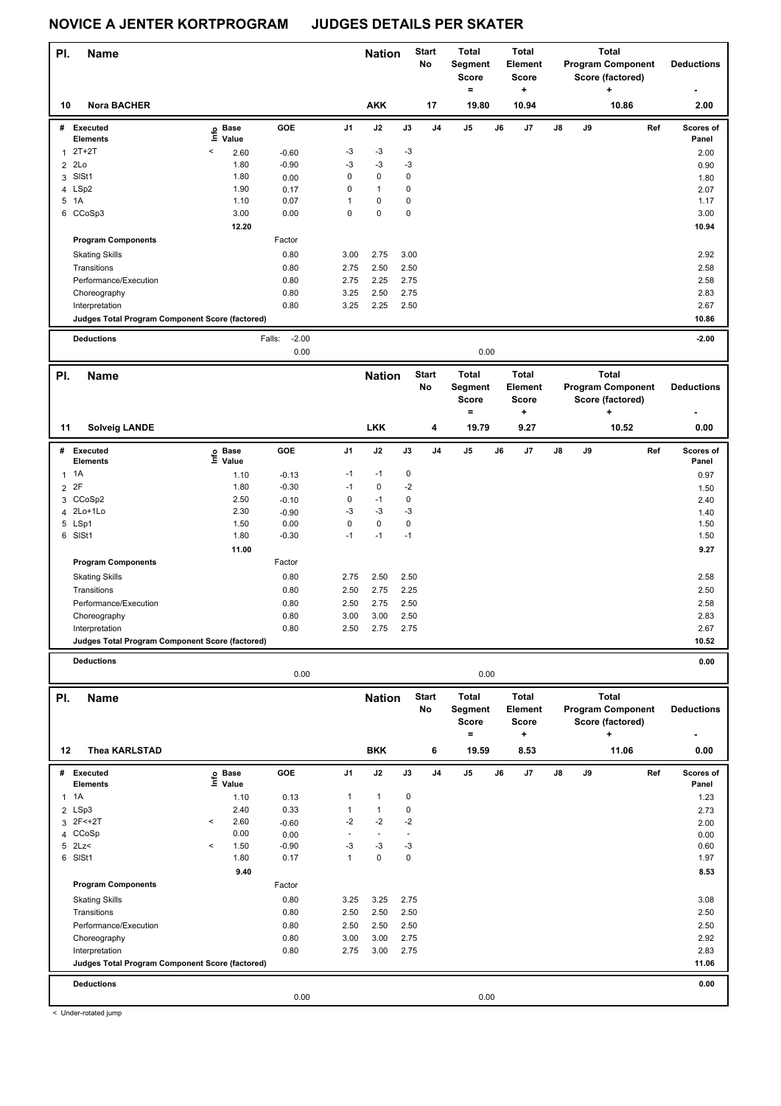| PI.                            | <b>Name</b>                                                       |                       |                           |                             | <b>Nation</b>                    |                        | <b>Start</b>   | <b>Total</b>                          |    | Total                               |    |    | <b>Total</b>                                      |                    |
|--------------------------------|-------------------------------------------------------------------|-----------------------|---------------------------|-----------------------------|----------------------------------|------------------------|----------------|---------------------------------------|----|-------------------------------------|----|----|---------------------------------------------------|--------------------|
|                                |                                                                   |                       |                           |                             |                                  |                        | No             | Segment<br><b>Score</b><br>$\equiv$   |    | <b>Element</b><br><b>Score</b><br>٠ |    |    | <b>Program Component</b><br>Score (factored)      | <b>Deductions</b>  |
| 10                             | <b>Nora BACHER</b>                                                |                       |                           |                             | <b>AKK</b>                       |                        | 17             | 19.80                                 |    | 10.94                               |    |    | 10.86                                             | 2.00               |
| #                              | Executed                                                          | e Base<br>E Value     | GOE                       | J1                          | J2                               | J3                     | J <sub>4</sub> | J5                                    | J6 | J7                                  | J8 | J9 | Ref                                               | Scores of          |
|                                | <b>Elements</b><br>$2T+2T$                                        | Value<br><            |                           | -3                          | $-3$                             | $-3$                   |                |                                       |    |                                     |    |    |                                                   | Panel              |
| $\mathbf{1}$<br>$\overline{2}$ | 2Lo                                                               | 2.60<br>1.80          | $-0.60$<br>$-0.90$        | -3                          | $-3$                             | $-3$                   |                |                                       |    |                                     |    |    |                                                   | 2.00               |
| 3                              | SISt1                                                             | 1.80                  | 0.00                      | 0                           | $\pmb{0}$                        | $\pmb{0}$              |                |                                       |    |                                     |    |    |                                                   | 0.90<br>1.80       |
| 4                              | LSp2                                                              | 1.90                  | 0.17                      | $\mathbf 0$                 | $\mathbf{1}$                     | $\mathbf 0$            |                |                                       |    |                                     |    |    |                                                   | 2.07               |
|                                | 5 1A                                                              | 1.10                  | 0.07                      | $\mathbf{1}$                | 0                                | $\pmb{0}$              |                |                                       |    |                                     |    |    |                                                   | 1.17               |
|                                | 6 CCoSp3                                                          | 3.00                  | 0.00                      | $\mathbf 0$                 | 0                                | $\mathbf 0$            |                |                                       |    |                                     |    |    |                                                   | 3.00               |
|                                |                                                                   | 12.20                 |                           |                             |                                  |                        |                |                                       |    |                                     |    |    |                                                   | 10.94              |
|                                | <b>Program Components</b>                                         |                       | Factor                    |                             |                                  |                        |                |                                       |    |                                     |    |    |                                                   |                    |
|                                | <b>Skating Skills</b>                                             |                       | 0.80                      | 3.00                        | 2.75                             | 3.00                   |                |                                       |    |                                     |    |    |                                                   | 2.92               |
|                                | Transitions                                                       |                       | 0.80                      | 2.75                        | 2.50                             | 2.50                   |                |                                       |    |                                     |    |    |                                                   | 2.58               |
|                                | Performance/Execution                                             |                       | 0.80                      | 2.75                        | 2.25                             | 2.75                   |                |                                       |    |                                     |    |    |                                                   | 2.58               |
|                                | Choreography                                                      |                       | 0.80                      | 3.25                        | 2.50                             | 2.75                   |                |                                       |    |                                     |    |    |                                                   | 2.83               |
|                                | Interpretation<br>Judges Total Program Component Score (factored) |                       | 0.80                      | 3.25                        | 2.25                             | 2.50                   |                |                                       |    |                                     |    |    |                                                   | 2.67<br>10.86      |
|                                |                                                                   |                       |                           |                             |                                  |                        |                |                                       |    |                                     |    |    |                                                   |                    |
|                                | <b>Deductions</b>                                                 |                       | $-2.00$<br>Falls:<br>0.00 |                             |                                  |                        |                | 0.00                                  |    |                                     |    |    |                                                   | $-2.00$            |
|                                |                                                                   |                       |                           |                             |                                  |                        | <b>Start</b>   | <b>Total</b>                          |    | <b>Total</b>                        |    |    | <b>Total</b>                                      |                    |
| PI.                            | <b>Name</b>                                                       |                       |                           |                             | <b>Nation</b>                    |                        | No             | Segment<br><b>Score</b>               |    | <b>Element</b><br><b>Score</b>      |    |    | <b>Program Component</b><br>Score (factored)      | <b>Deductions</b>  |
| 11                             | <b>Solveig LANDE</b>                                              |                       |                           |                             | <b>LKK</b>                       |                        | 4              | $\qquad \qquad =$<br>19.79            |    | ٠<br>9.27                           |    |    | ÷<br>10.52                                        | 0.00               |
| #                              | <b>Executed</b>                                                   | <b>Base</b>           | GOE                       | J1                          | J2                               | J3                     | J <sub>4</sub> | J5                                    | J6 | J7                                  | J8 | J9 | Ref                                               | Scores of          |
|                                | <b>Elements</b>                                                   | ١nfo<br>Value         |                           |                             |                                  |                        |                |                                       |    |                                     |    |    |                                                   | Panel              |
| 1                              | 1A                                                                | 1.10                  | $-0.13$                   | $-1$                        | $-1$                             | 0                      |                |                                       |    |                                     |    |    |                                                   | 0.97               |
| $\overline{2}$                 | 2F                                                                | 1.80                  | $-0.30$                   | $-1$                        | 0                                | $-2$                   |                |                                       |    |                                     |    |    |                                                   | 1.50               |
| 3                              | CCoSp2                                                            | 2.50                  | $-0.10$                   | 0                           | $-1$                             | $\pmb{0}$              |                |                                       |    |                                     |    |    |                                                   | 2.40               |
| 4                              | 2Lo+1Lo<br>5 LSp1                                                 | 2.30<br>1.50          | $-0.90$<br>0.00           | -3<br>$\mathbf 0$           | $-3$<br>0                        | $-3$<br>$\pmb{0}$      |                |                                       |    |                                     |    |    |                                                   | 1.40<br>1.50       |
|                                | 6 SISt1                                                           | 1.80                  | $-0.30$                   | $-1$                        | $-1$                             | $-1$                   |                |                                       |    |                                     |    |    |                                                   | 1.50               |
|                                |                                                                   | 11.00                 |                           |                             |                                  |                        |                |                                       |    |                                     |    |    |                                                   | 9.27               |
|                                | <b>Program Components</b>                                         |                       | Factor                    |                             |                                  |                        |                |                                       |    |                                     |    |    |                                                   |                    |
|                                | <b>Skating Skills</b>                                             |                       | 0.80                      | 2.75                        | 2.50                             | 2.50                   |                |                                       |    |                                     |    |    |                                                   | 2.58               |
|                                | Transitions                                                       |                       | 0.80                      | 2.50                        | 2.75                             | 2.25                   |                |                                       |    |                                     |    |    |                                                   | 2.50               |
|                                | Performance/Execution                                             |                       | 0.80                      | 2.50                        | 2.75                             | 2.50                   |                |                                       |    |                                     |    |    |                                                   | 2.58               |
|                                | Choreography                                                      |                       | 0.80                      | 3.00                        | 3.00                             | 2.50                   |                |                                       |    |                                     |    |    |                                                   | 2.83               |
|                                | Interpretation                                                    |                       | 0.80                      | 2.50                        | 2.75                             | 2.75                   |                |                                       |    |                                     |    |    |                                                   | 2.67               |
|                                | Judges Total Program Component Score (factored)                   |                       |                           |                             |                                  |                        |                |                                       |    |                                     |    |    |                                                   | 10.52              |
|                                | <b>Deductions</b>                                                 |                       | 0.00                      |                             |                                  |                        |                | 0.00                                  |    |                                     |    |    |                                                   | 0.00               |
| PI.                            | <b>Name</b>                                                       |                       |                           |                             | <b>Nation</b>                    |                        | <b>Start</b>   | <b>Total</b>                          |    | <b>Total</b>                        |    |    | <b>Total</b>                                      |                    |
|                                |                                                                   |                       |                           |                             |                                  |                        | No             | Segment<br>Score<br>$\qquad \qquad =$ |    | <b>Element</b><br><b>Score</b><br>٠ |    |    | <b>Program Component</b><br>Score (factored)<br>٠ | <b>Deductions</b>  |
| 12                             | <b>Thea KARLSTAD</b>                                              |                       |                           |                             | <b>BKK</b>                       |                        | 6              | 19.59                                 |    | 8.53                                |    |    | 11.06                                             | 0.00               |
|                                | # Executed<br>Elements                                            | e Base<br>⊑ Value     | GOE                       | J1                          | J2                               | J3                     | J4             | J5                                    | J6 | J7                                  | J8 | J9 | Ref                                               | Scores of<br>Panel |
| $\mathbf{1}$                   | 1A                                                                | 1.10                  | 0.13                      | 1                           | $\mathbf{1}$                     | 0                      |                |                                       |    |                                     |    |    |                                                   | 1.23               |
|                                | 2 LSp3                                                            | 2.40                  | 0.33                      | $\mathbf{1}$                | $\mathbf{1}$                     | $\pmb{0}$              |                |                                       |    |                                     |    |    |                                                   | 2.73               |
| 3                              | 2F<+2T<br>CCoSp                                                   | 2.60<br>$\,<$<br>0.00 | $-0.60$                   | $-2$<br>$\bar{\phantom{a}}$ | $-2$<br>$\overline{\phantom{a}}$ | $-2$<br>$\overline{a}$ |                |                                       |    |                                     |    |    |                                                   | 2.00               |
| 4                              | $5$ 2Lz<                                                          | 1.50<br>$\,<$         | 0.00<br>$-0.90$           | -3                          | $-3$                             | $-3$                   |                |                                       |    |                                     |    |    |                                                   | 0.00<br>0.60       |
|                                | 6 SISt1                                                           | 1.80                  | 0.17                      | $\mathbf{1}$                | 0                                | $\pmb{0}$              |                |                                       |    |                                     |    |    |                                                   | 1.97               |
|                                |                                                                   | 9.40                  |                           |                             |                                  |                        |                |                                       |    |                                     |    |    |                                                   | 8.53               |
|                                | <b>Program Components</b>                                         |                       | Factor                    |                             |                                  |                        |                |                                       |    |                                     |    |    |                                                   |                    |
|                                | <b>Skating Skills</b>                                             |                       | 0.80                      | 3.25                        | 3.25                             | 2.75                   |                |                                       |    |                                     |    |    |                                                   | 3.08               |
|                                | Transitions                                                       |                       | 0.80                      | 2.50                        | 2.50                             | 2.50                   |                |                                       |    |                                     |    |    |                                                   | 2.50               |
|                                | Performance/Execution                                             |                       | 0.80                      | 2.50                        | 2.50                             | 2.50                   |                |                                       |    |                                     |    |    |                                                   | 2.50               |
|                                | Choreography                                                      |                       | 0.80                      | 3.00                        | 3.00                             | 2.75                   |                |                                       |    |                                     |    |    |                                                   | 2.92               |
|                                | Interpretation                                                    |                       | 0.80                      | 2.75                        | 3.00                             | 2.75                   |                |                                       |    |                                     |    |    |                                                   | 2.83<br>11.06      |
|                                | Judges Total Program Component Score (factored)                   |                       |                           |                             |                                  |                        |                |                                       |    |                                     |    |    |                                                   |                    |
|                                | <b>Deductions</b>                                                 |                       | 0.00                      |                             |                                  |                        |                | 0.00                                  |    |                                     |    |    |                                                   | 0.00               |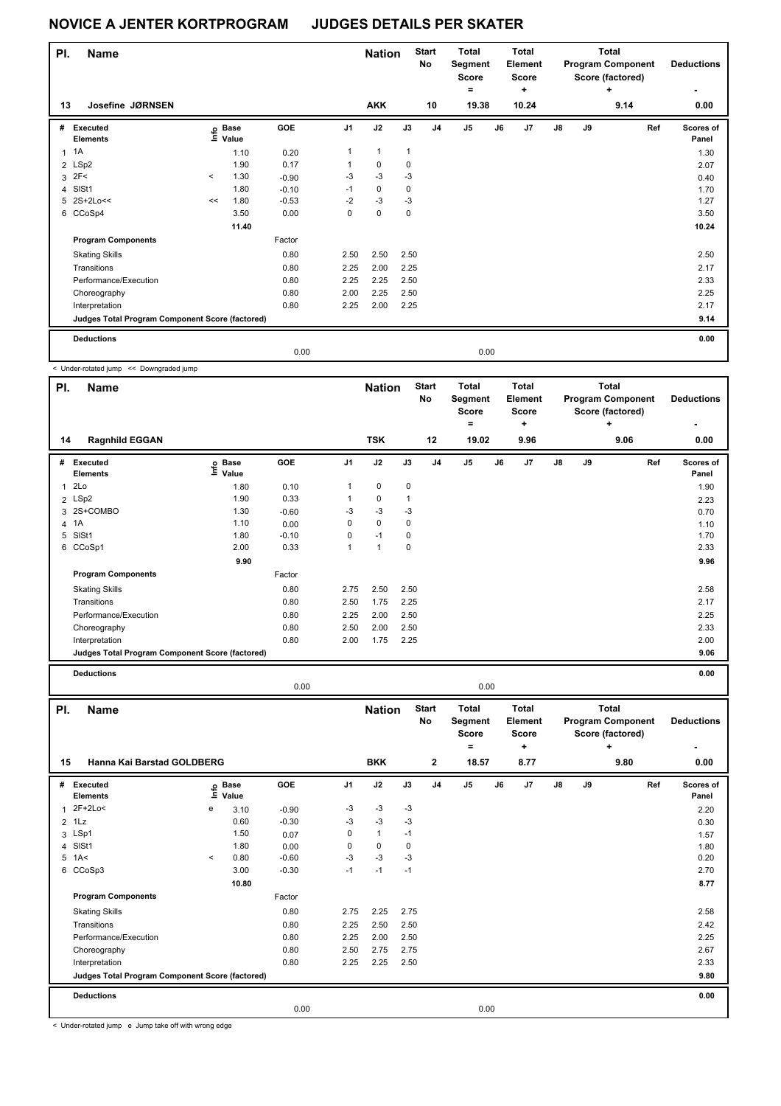| PI. | <b>Name</b>                                     |         |                   |         |                | <b>Nation</b> |              | <b>Start</b><br>No | <b>Total</b><br>Segment<br><b>Score</b><br>۰ |      | <b>Total</b><br>Element<br><b>Score</b><br>٠ |               |    | Total<br><b>Program Component</b><br>Score (factored)<br>٠ | <b>Deductions</b>  |
|-----|-------------------------------------------------|---------|-------------------|---------|----------------|---------------|--------------|--------------------|----------------------------------------------|------|----------------------------------------------|---------------|----|------------------------------------------------------------|--------------------|
| 13  | Josefine JØRNSEN                                |         |                   |         |                | <b>AKK</b>    |              | 10                 | 19.38                                        |      | 10.24                                        |               |    | 9.14                                                       | ٠<br>0.00          |
| #   | Executed<br><b>Elements</b>                     |         | e Base<br>E Value | GOE     | J <sub>1</sub> | J2            | J3           | J <sub>4</sub>     | J <sub>5</sub>                               | J6   | J <sub>7</sub>                               | $\mathsf{J}8$ | J9 | Ref                                                        | Scores of<br>Panel |
| 1   | <b>1A</b>                                       |         | 1.10              | 0.20    | $\mathbf{1}$   | $\mathbf{1}$  | $\mathbf{1}$ |                    |                                              |      |                                              |               |    |                                                            | 1.30               |
|     | 2 LSp2                                          |         | 1.90              | 0.17    | 1              | 0             | 0            |                    |                                              |      |                                              |               |    |                                                            | 2.07               |
|     | $3$ $2F<$                                       | $\prec$ | 1.30              | $-0.90$ | $-3$           | $-3$          | $-3$         |                    |                                              |      |                                              |               |    |                                                            | 0.40               |
|     | 4 SISt1                                         |         | 1.80              | $-0.10$ | $-1$           | 0             | 0            |                    |                                              |      |                                              |               |    |                                                            | 1.70               |
|     | 5 2S+2Lo<<                                      | <<      | 1.80              | $-0.53$ | $-2$           | $-3$          | $-3$         |                    |                                              |      |                                              |               |    |                                                            | 1.27               |
|     | 6 CCoSp4                                        |         | 3.50              | 0.00    | 0              | $\mathbf 0$   | $\mathbf 0$  |                    |                                              |      |                                              |               |    |                                                            | 3.50               |
|     |                                                 |         | 11.40             |         |                |               |              |                    |                                              |      |                                              |               |    |                                                            | 10.24              |
|     | <b>Program Components</b>                       |         |                   | Factor  |                |               |              |                    |                                              |      |                                              |               |    |                                                            |                    |
|     | <b>Skating Skills</b>                           |         |                   | 0.80    | 2.50           | 2.50          | 2.50         |                    |                                              |      |                                              |               |    |                                                            | 2.50               |
|     | Transitions                                     |         |                   | 0.80    | 2.25           | 2.00          | 2.25         |                    |                                              |      |                                              |               |    |                                                            | 2.17               |
|     | Performance/Execution                           |         |                   | 0.80    | 2.25           | 2.25          | 2.50         |                    |                                              |      |                                              |               |    |                                                            | 2.33               |
|     | Choreography                                    |         |                   | 0.80    | 2.00           | 2.25          | 2.50         |                    |                                              |      |                                              |               |    |                                                            | 2.25               |
|     | Interpretation                                  |         |                   | 0.80    | 2.25           | 2.00          | 2.25         |                    |                                              |      |                                              |               |    |                                                            | 2.17               |
|     | Judges Total Program Component Score (factored) |         |                   |         |                |               |              |                    |                                              |      |                                              |               |    |                                                            | 9.14               |
|     | <b>Deductions</b>                               |         |                   |         |                |               |              |                    |                                              |      |                                              |               |    |                                                            | 0.00               |
|     |                                                 |         |                   | 0.00    |                |               |              |                    |                                              | 0.00 |                                              |               |    |                                                            |                    |

< Under-rotated jump << Downgraded jump

| PI. | <b>Name</b>                                     |                   |         |                | <b>Nation</b> |             | <b>Start</b><br>No | <b>Total</b><br>Segment<br><b>Score</b><br>= |      | Total<br>Element<br><b>Score</b><br>÷ |               |    | <b>Total</b><br><b>Program Component</b><br>Score (factored)<br>÷ | <b>Deductions</b>  |
|-----|-------------------------------------------------|-------------------|---------|----------------|---------------|-------------|--------------------|----------------------------------------------|------|---------------------------------------|---------------|----|-------------------------------------------------------------------|--------------------|
| 14  | <b>Ragnhild EGGAN</b>                           |                   |         |                | <b>TSK</b>    |             | 12                 | 19.02                                        |      | 9.96                                  |               |    | 9.06                                                              | 0.00               |
| #   | Executed<br><b>Elements</b>                     | e Base<br>⊆ Value | GOE     | J <sub>1</sub> | J2            | J3          | J <sub>4</sub>     | J5                                           | J6   | J7                                    | $\mathsf{J}8$ | J9 | Ref                                                               | Scores of<br>Panel |
| 1   | 2Lo                                             | 1.80              | 0.10    |                | $\pmb{0}$     | $\mathbf 0$ |                    |                                              |      |                                       |               |    |                                                                   | 1.90               |
|     | 2 LSp2                                          | 1.90              | 0.33    |                | 0             | 1           |                    |                                              |      |                                       |               |    |                                                                   | 2.23               |
|     | 3 2S+COMBO                                      | 1.30              | $-0.60$ | -3             | $-3$          | $-3$        |                    |                                              |      |                                       |               |    |                                                                   | 0.70               |
|     | 4 1A                                            | 1.10              | 0.00    | 0              | $\mathbf 0$   | 0           |                    |                                              |      |                                       |               |    |                                                                   | 1.10               |
| 5   | SISt1                                           | 1.80              | $-0.10$ | 0              | $-1$          | 0           |                    |                                              |      |                                       |               |    |                                                                   | 1.70               |
| 6   | CCoSp1                                          | 2.00              | 0.33    | 1              | 1             | 0           |                    |                                              |      |                                       |               |    |                                                                   | 2.33               |
|     |                                                 | 9.90              |         |                |               |             |                    |                                              |      |                                       |               |    |                                                                   | 9.96               |
|     | <b>Program Components</b>                       |                   | Factor  |                |               |             |                    |                                              |      |                                       |               |    |                                                                   |                    |
|     | <b>Skating Skills</b>                           |                   | 0.80    | 2.75           | 2.50          | 2.50        |                    |                                              |      |                                       |               |    |                                                                   | 2.58               |
|     | Transitions                                     |                   | 0.80    | 2.50           | 1.75          | 2.25        |                    |                                              |      |                                       |               |    |                                                                   | 2.17               |
|     | Performance/Execution                           |                   | 0.80    | 2.25           | 2.00          | 2.50        |                    |                                              |      |                                       |               |    |                                                                   | 2.25               |
|     | Choreography                                    |                   | 0.80    | 2.50           | 2.00          | 2.50        |                    |                                              |      |                                       |               |    |                                                                   | 2.33               |
|     | Interpretation                                  |                   | 0.80    | 2.00           | 1.75          | 2.25        |                    |                                              |      |                                       |               |    |                                                                   | 2.00               |
|     | Judges Total Program Component Score (factored) |                   |         |                |               |             |                    |                                              |      |                                       |               |    |                                                                   | 9.06               |
|     | <b>Deductions</b>                               |                   |         |                |               |             |                    |                                              |      |                                       |               |    |                                                                   | 0.00               |
|     |                                                 |                   | 0.00    |                |               |             |                    |                                              | 0.00 |                                       |               |    |                                                                   |                    |

| PI.          | <b>Name</b>                                     |         |                            |            |                | <b>Nation</b> |      | <b>Start</b><br>No | <b>Total</b><br>Segment<br><b>Score</b><br>۰ |    | Total<br>Element<br><b>Score</b><br>÷ |               |    | <b>Total</b><br><b>Program Component</b><br>Score (factored)<br>÷ | <b>Deductions</b>  |
|--------------|-------------------------------------------------|---------|----------------------------|------------|----------------|---------------|------|--------------------|----------------------------------------------|----|---------------------------------------|---------------|----|-------------------------------------------------------------------|--------------------|
| 15           | Hanna Kai Barstad GOLDBERG                      |         |                            |            |                | <b>BKK</b>    |      | $\mathbf{2}$       | 18.57                                        |    | 8.77                                  |               |    | 9.80                                                              | 0.00               |
| #            | Executed<br><b>Elements</b>                     |         | e Base<br>E Value<br>Value | <b>GOE</b> | J <sub>1</sub> | J2            | J3   | J <sub>4</sub>     | J <sub>5</sub>                               | J6 | J7                                    | $\mathsf{J}8$ | J9 | Ref                                                               | Scores of<br>Panel |
| $\mathbf{1}$ | 2F+2Lo<                                         | e       | 3.10                       | $-0.90$    | -3             | $-3$          | $-3$ |                    |                                              |    |                                       |               |    |                                                                   | 2.20               |
|              | $2$ 1 Lz                                        |         | 0.60                       | $-0.30$    | -3             | $-3$          | $-3$ |                    |                                              |    |                                       |               |    |                                                                   | 0.30               |
|              | 3 LSp1                                          |         | 1.50                       | 0.07       | 0              | $\mathbf{1}$  | $-1$ |                    |                                              |    |                                       |               |    |                                                                   | 1.57               |
| 4            | SISt1                                           |         | 1.80                       | 0.00       | 0              | $\mathbf 0$   | 0    |                    |                                              |    |                                       |               |    |                                                                   | 1.80               |
|              | $5$ 1A<                                         | $\prec$ | 0.80                       | $-0.60$    | $-3$           | $-3$          | $-3$ |                    |                                              |    |                                       |               |    |                                                                   | 0.20               |
| 6            | CCoSp3                                          |         | 3.00                       | $-0.30$    | $-1$           | $-1$          | $-1$ |                    |                                              |    |                                       |               |    |                                                                   | 2.70               |
|              |                                                 |         | 10.80                      |            |                |               |      |                    |                                              |    |                                       |               |    |                                                                   | 8.77               |
|              | <b>Program Components</b>                       |         |                            | Factor     |                |               |      |                    |                                              |    |                                       |               |    |                                                                   |                    |
|              | <b>Skating Skills</b>                           |         |                            | 0.80       | 2.75           | 2.25          | 2.75 |                    |                                              |    |                                       |               |    |                                                                   | 2.58               |
|              | Transitions                                     |         |                            | 0.80       | 2.25           | 2.50          | 2.50 |                    |                                              |    |                                       |               |    |                                                                   | 2.42               |
|              | Performance/Execution                           |         |                            | 0.80       | 2.25           | 2.00          | 2.50 |                    |                                              |    |                                       |               |    |                                                                   | 2.25               |
|              | Choreography                                    |         |                            | 0.80       | 2.50           | 2.75          | 2.75 |                    |                                              |    |                                       |               |    |                                                                   | 2.67               |
|              | Interpretation                                  |         |                            | 0.80       | 2.25           | 2.25          | 2.50 |                    |                                              |    |                                       |               |    |                                                                   | 2.33               |
|              | Judges Total Program Component Score (factored) |         |                            |            |                |               |      |                    |                                              |    |                                       |               |    |                                                                   | 9.80               |
|              | <b>Deductions</b>                               |         |                            |            |                |               |      |                    |                                              |    |                                       |               |    |                                                                   | 0.00               |
|              |                                                 |         |                            | 0.00       |                |               |      |                    | 0.00                                         |    |                                       |               |    |                                                                   |                    |

< Under-rotated jump e Jump take off with wrong edge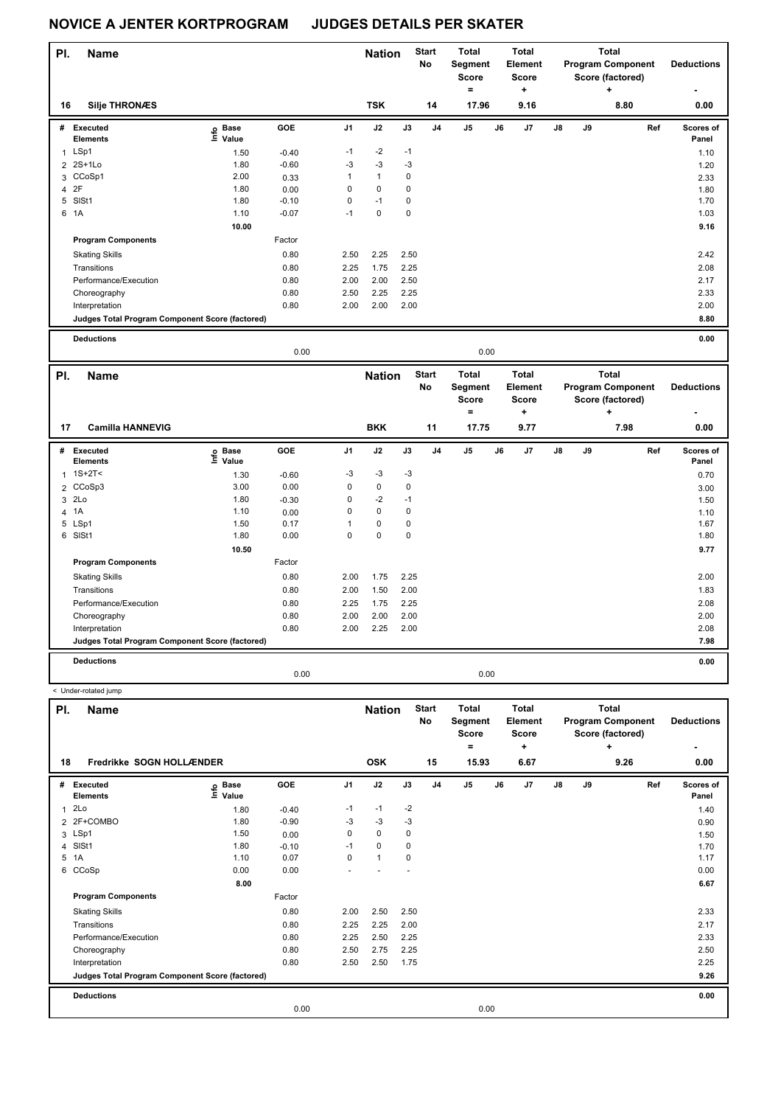| PI. | Name                                            |                                  |         |                | <b>Nation</b>  |      | Total<br><b>Start</b><br>No<br>Segment<br>Score |                |    | <b>Total</b><br>Element<br><b>Score</b> |               | Total<br><b>Program Component</b><br>Score (factored) |      | <b>Deductions</b>        |
|-----|-------------------------------------------------|----------------------------------|---------|----------------|----------------|------|-------------------------------------------------|----------------|----|-----------------------------------------|---------------|-------------------------------------------------------|------|--------------------------|
|     |                                                 |                                  |         |                |                |      |                                                 | ۰              |    | ٠                                       |               |                                                       | ٠    | $\overline{\phantom{a}}$ |
| 16  | <b>Silje THRONÆS</b>                            |                                  |         |                | <b>TSK</b>     |      | 14                                              | 17.96          |    | 9.16                                    |               |                                                       | 8.80 | 0.00                     |
| #   | Executed<br><b>Elements</b>                     | <b>Base</b><br>e Base<br>E Value | GOE     | J <sub>1</sub> | J2             | J3   | J <sub>4</sub>                                  | J <sub>5</sub> | J6 | J7                                      | $\mathsf{J}8$ | J9                                                    | Ref  | Scores of<br>Panel       |
| 1   | LSp1                                            | 1.50                             | $-0.40$ | $-1$           | $-2$           | $-1$ |                                                 |                |    |                                         |               |                                                       |      | 1.10                     |
|     | 2 2S+1Lo                                        | 1.80                             | $-0.60$ | $-3$           | $-3$           | $-3$ |                                                 |                |    |                                         |               |                                                       |      | 1.20                     |
|     | 3 CCoSp1                                        | 2.00                             | 0.33    | 1              | $\overline{1}$ | 0    |                                                 |                |    |                                         |               |                                                       |      | 2.33                     |
|     | 4 2F                                            | 1.80                             | 0.00    | 0              | $\mathbf 0$    | 0    |                                                 |                |    |                                         |               |                                                       |      | 1.80                     |
|     | 5 SISt1                                         | 1.80                             | $-0.10$ | 0              | $-1$           | 0    |                                                 |                |    |                                         |               |                                                       |      | 1.70                     |
|     | 6 1A                                            | 1.10                             | $-0.07$ | $-1$           | 0              | 0    |                                                 |                |    |                                         |               |                                                       |      | 1.03                     |
|     |                                                 | 10.00                            |         |                |                |      |                                                 |                |    |                                         |               |                                                       |      | 9.16                     |
|     | <b>Program Components</b>                       |                                  | Factor  |                |                |      |                                                 |                |    |                                         |               |                                                       |      |                          |
|     | <b>Skating Skills</b>                           |                                  | 0.80    | 2.50           | 2.25           | 2.50 |                                                 |                |    |                                         |               |                                                       |      | 2.42                     |
|     | Transitions                                     |                                  | 0.80    | 2.25           | 1.75           | 2.25 |                                                 |                |    |                                         |               |                                                       |      | 2.08                     |
|     | Performance/Execution                           |                                  | 0.80    | 2.00           | 2.00           | 2.50 |                                                 |                |    |                                         |               |                                                       |      | 2.17                     |
|     | Choreography                                    |                                  | 0.80    | 2.50           | 2.25           | 2.25 |                                                 |                |    |                                         |               |                                                       |      | 2.33                     |
|     | Interpretation                                  |                                  | 0.80    | 2.00           | 2.00           | 2.00 |                                                 |                |    |                                         |               |                                                       |      | 2.00                     |
|     | Judges Total Program Component Score (factored) |                                  |         |                |                |      |                                                 |                |    |                                         |               |                                                       |      | 8.80                     |
|     |                                                 |                                  |         |                |                |      |                                                 |                |    |                                         |               |                                                       |      |                          |

**Deductions 0.00**

|     |                                                 |                                  | 0.00    |                |               |             |                           |                                       | 0.00 |                                              |    |    |                                                                   |                        |
|-----|-------------------------------------------------|----------------------------------|---------|----------------|---------------|-------------|---------------------------|---------------------------------------|------|----------------------------------------------|----|----|-------------------------------------------------------------------|------------------------|
| PI. | <b>Name</b>                                     |                                  |         |                | <b>Nation</b> |             | <b>Start</b><br><b>No</b> | Total<br>Segment<br><b>Score</b><br>۰ |      | <b>Total</b><br>Element<br><b>Score</b><br>٠ |    |    | <b>Total</b><br><b>Program Component</b><br>Score (factored)<br>÷ | <b>Deductions</b><br>٠ |
| 17  | <b>Camilla HANNEVIG</b>                         |                                  |         |                | <b>BKK</b>    |             | 11                        | 17.75                                 |      | 9.77                                         |    |    | 7.98                                                              | 0.00                   |
| #   | Executed<br><b>Elements</b>                     | <b>Base</b><br>e Base<br>⊑ Value | GOE     | J <sub>1</sub> | J2            | J3          | J <sub>4</sub>            | J5                                    | J6   | J7                                           | J8 | J9 | Ref                                                               | Scores of<br>Panel     |
| 1   | $1S+2T2$                                        | 1.30                             | $-0.60$ | -3             | -3            | $-3$        |                           |                                       |      |                                              |    |    |                                                                   | 0.70                   |
|     | 2 CCoSp3                                        | 3.00                             | 0.00    | 0              | $\mathbf 0$   | 0           |                           |                                       |      |                                              |    |    |                                                                   | 3.00                   |
| 3   | 2Lo                                             | 1.80                             | $-0.30$ | 0              | $-2$          | $-1$        |                           |                                       |      |                                              |    |    |                                                                   | 1.50                   |
| 4   | 1A                                              | 1.10                             | 0.00    | 0              | $\mathbf 0$   | $\mathbf 0$ |                           |                                       |      |                                              |    |    |                                                                   | 1.10                   |
| 5   | LSp1                                            | 1.50                             | 0.17    |                | $\mathbf 0$   | 0           |                           |                                       |      |                                              |    |    |                                                                   | 1.67                   |
| 6   | SISt1                                           | 1.80                             | 0.00    | 0              | $\mathbf 0$   | 0           |                           |                                       |      |                                              |    |    |                                                                   | 1.80                   |
|     |                                                 | 10.50                            |         |                |               |             |                           |                                       |      |                                              |    |    |                                                                   | 9.77                   |
|     | <b>Program Components</b>                       |                                  | Factor  |                |               |             |                           |                                       |      |                                              |    |    |                                                                   |                        |
|     | <b>Skating Skills</b>                           |                                  | 0.80    | 2.00           | 1.75          | 2.25        |                           |                                       |      |                                              |    |    |                                                                   | 2.00                   |
|     | Transitions                                     |                                  | 0.80    | 2.00           | 1.50          | 2.00        |                           |                                       |      |                                              |    |    |                                                                   | 1.83                   |
|     | Performance/Execution                           |                                  | 0.80    | 2.25           | 1.75          | 2.25        |                           |                                       |      |                                              |    |    |                                                                   | 2.08                   |
|     | Choreography                                    |                                  | 0.80    | 2.00           | 2.00          | 2.00        |                           |                                       |      |                                              |    |    |                                                                   | 2.00                   |
|     | Interpretation                                  |                                  | 0.80    | 2.00           | 2.25          | 2.00        |                           |                                       |      |                                              |    |    |                                                                   | 2.08                   |
|     | Judges Total Program Component Score (factored) |                                  |         |                |               |             |                           |                                       |      |                                              |    |    |                                                                   | 7.98                   |
|     | <b>Deductions</b>                               |                                  |         |                |               |             |                           |                                       |      |                                              |    |    |                                                                   | 0.00                   |
|     |                                                 |                                  | 0.00    |                |               |             |                           |                                       | 0.00 |                                              |    |    |                                                                   |                        |

| PI. | <b>Name</b>                                     |                            |         |                | <b>Nation</b> |      | <b>Start</b><br>No | <b>Total</b><br>Segment<br><b>Score</b> |      | Total<br><b>Element</b><br>Score |               |    | <b>Total</b><br><b>Program Component</b><br>Score (factored) | <b>Deductions</b>  |
|-----|-------------------------------------------------|----------------------------|---------|----------------|---------------|------|--------------------|-----------------------------------------|------|----------------------------------|---------------|----|--------------------------------------------------------------|--------------------|
| 18  | Fredrikke SOGN HOLLÆNDER                        |                            |         |                | <b>OSK</b>    |      | 15                 | ۰<br>15.93                              |      | ٠<br>6.67                        |               |    | ÷<br>9.26                                                    | 0.00               |
|     |                                                 |                            |         |                |               |      |                    |                                         |      |                                  |               |    |                                                              |                    |
| #   | Executed<br><b>Elements</b>                     | e Base<br>E Value<br>Value | GOE     | J <sub>1</sub> | J2            | J3   | J <sub>4</sub>     | J5                                      | J6   | J7                               | $\mathsf{J}8$ | J9 | Ref                                                          | Scores of<br>Panel |
| 1   | 2Lo                                             | 1.80                       | $-0.40$ | $-1$           | $-1$          | $-2$ |                    |                                         |      |                                  |               |    |                                                              | 1.40               |
|     | 2 2F+COMBO                                      | 1.80                       | $-0.90$ | $-3$           | $-3$          | $-3$ |                    |                                         |      |                                  |               |    |                                                              | 0.90               |
|     | 3 LSp1                                          | 1.50                       | 0.00    | 0              | 0             | 0    |                    |                                         |      |                                  |               |    |                                                              | 1.50               |
|     | 4 SISt1                                         | 1.80                       | $-0.10$ | $-1$           | $\mathbf 0$   | 0    |                    |                                         |      |                                  |               |    |                                                              | 1.70               |
|     | 5 1A                                            | 1.10                       | 0.07    | 0              | $\mathbf{1}$  | 0    |                    |                                         |      |                                  |               |    |                                                              | 1.17               |
|     | 6 CCoSp                                         | 0.00                       | 0.00    |                |               |      |                    |                                         |      |                                  |               |    |                                                              | 0.00               |
|     |                                                 | 8.00                       |         |                |               |      |                    |                                         |      |                                  |               |    |                                                              | 6.67               |
|     | <b>Program Components</b>                       |                            | Factor  |                |               |      |                    |                                         |      |                                  |               |    |                                                              |                    |
|     | <b>Skating Skills</b>                           |                            | 0.80    | 2.00           | 2.50          | 2.50 |                    |                                         |      |                                  |               |    |                                                              | 2.33               |
|     | Transitions                                     |                            | 0.80    | 2.25           | 2.25          | 2.00 |                    |                                         |      |                                  |               |    |                                                              | 2.17               |
|     | Performance/Execution                           |                            | 0.80    | 2.25           | 2.50          | 2.25 |                    |                                         |      |                                  |               |    |                                                              | 2.33               |
|     | Choreography                                    |                            | 0.80    | 2.50           | 2.75          | 2.25 |                    |                                         |      |                                  |               |    |                                                              | 2.50               |
|     | Interpretation                                  |                            | 0.80    | 2.50           | 2.50          | 1.75 |                    |                                         |      |                                  |               |    |                                                              | 2.25               |
|     | Judges Total Program Component Score (factored) |                            |         |                |               |      |                    |                                         |      |                                  |               |    |                                                              | 9.26               |
|     | <b>Deductions</b>                               |                            |         |                |               |      |                    |                                         |      |                                  |               |    |                                                              | 0.00               |
|     |                                                 |                            | 0.00    |                |               |      |                    |                                         | 0.00 |                                  |               |    |                                                              |                    |